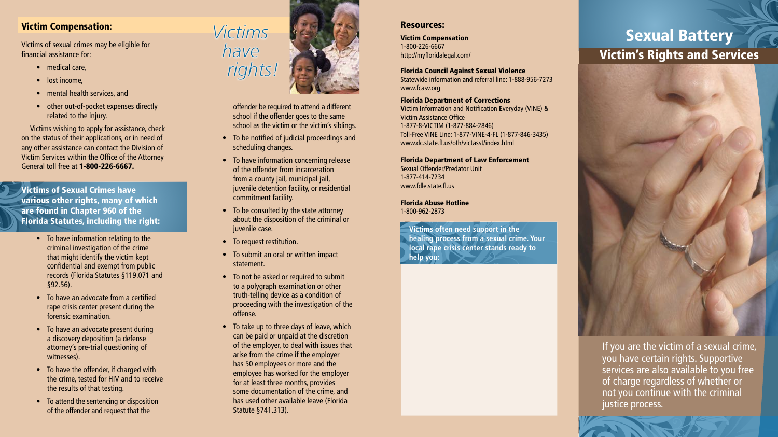#### Victim Compensation:

Victims of sexual crimes may be eligible for financial assistance for:

- medical care,
- lost income,
- mental health services, and
- other out-of-pocket expenses directly related to the injury.

Victims wishing to apply for assistance, check on the status of their applications, or in need of any other assistance can contact the Division of Victim Services within the Office of the Attorney General toll free at 1-800-226-6667.

Victims of Sexual Crimes have various other rights, many of which are found in Chapter 960 of the Florida Statutes, including the right:

- To have information relating to the criminal investigation of the crime that might identify the victim kept confidential and exempt from public records (Florida Statutes §119.071 and §92.56).
- To have an advocate from a certified rape crisis center present during the forensic examination.
- To have an advocate present during a discovery deposition (a defense attorney's pre-trial questioning of witnesses).
- To have the offender, if charged with the crime, tested for HIV and to receive the results of that testing.
- To attend the sentencing or disposition of the offender and request that the



offender be required to attend a different school if the offender goes to the same school as the victim or the victim's siblings.

- • To be notified of judicial proceedings and scheduling changes.
- To have information concerning release of the offender from incarceration from a county jail, municipal jail, juvenile detention facility, or residential commitment facility.
- To be consulted by the state attorney about the disposition of the criminal or juvenile case.
- To request restitution.
- To submit an oral or written impact statement.
- To not be asked or required to submit to a polygraph examination or other truth-telling device as a condition of proceeding with the investigation of the offense.
- To take up to three days of leave, which can be paid or unpaid at the discretion of the employer, to deal with issues that arise from the crime if the employer has 50 employees or more and the employee has worked for the employer for at least three months, provides some documentation of the crime, and has used other available leave (Florida Statute §741.313).

#### Resources:

Victim Compensation 1-800-226-6667 http://myfloridalegal.com/

Florida Council Against Sexual Violence Statewide information and referral line: 1-888-956-7273 www.fcasv.org

Florida Department of Corrections **V**ictim **I**nformation and **N**otification **E**veryday (VINE) & Victim Assistance Office 1-877-8-VICTIM (1-877-884-2846) Toll-Free VINE Line: 1-877-VINE-4-FL (1-877-846-3435) www.dc.state.fl.us/oth/victasst/index.html

Florida Department of Law Enforcement Sexual Offender/Predator Unit 1-877-414-7234 www.fdle.state.fl.us

Florida Abuse Hotline 1-800-962-2873

**Victims often need support in the healing process from a sexual crime. Your local rape crisis center stands ready to help you:**

# Sexual Battery Victim's Rights and Services



If you are the victim of a sexual crime, you have certain rights. Supportive services are also available to you free of charge regardless of whether or not you continue with the criminal justice process.